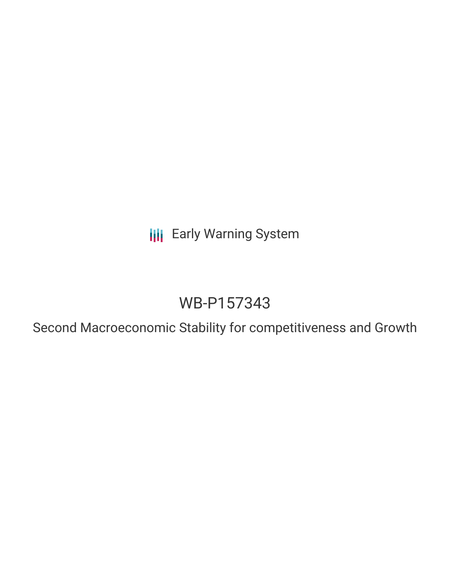**III** Early Warning System

# WB-P157343

Second Macroeconomic Stability for competitiveness and Growth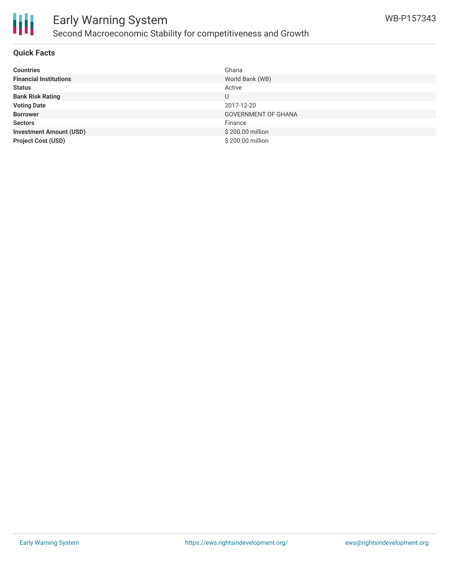

### Early Warning System Second Macroeconomic Stability for competitiveness and Growth

### **Quick Facts**

| <b>Countries</b>               | Ghana                      |
|--------------------------------|----------------------------|
| <b>Financial Institutions</b>  | World Bank (WB)            |
| <b>Status</b>                  | Active                     |
| <b>Bank Risk Rating</b>        | U                          |
| <b>Voting Date</b>             | 2017-12-20                 |
| <b>Borrower</b>                | <b>GOVERNMENT OF GHANA</b> |
| <b>Sectors</b>                 | Finance                    |
| <b>Investment Amount (USD)</b> | \$200.00 million           |
| <b>Project Cost (USD)</b>      | \$200.00 million           |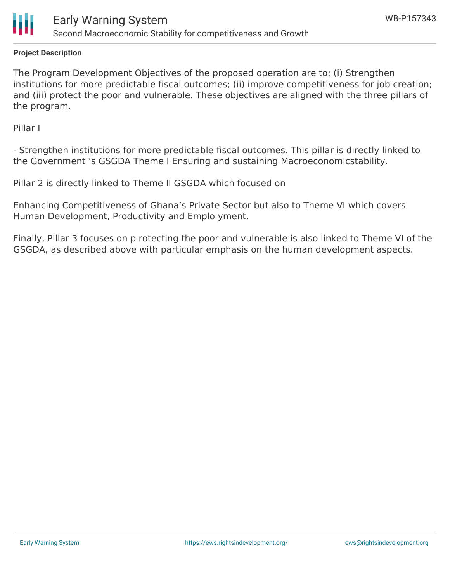

### **Project Description**

The Program Development Objectives of the proposed operation are to: (i) Strengthen institutions for more predictable fiscal outcomes; (ii) improve competitiveness for job creation; and (iii) protect the poor and vulnerable. These objectives are aligned with the three pillars of the program.

Pillar I

- Strengthen institutions for more predictable fiscal outcomes. This pillar is directly linked to the Government 's GSGDA Theme I Ensuring and sustaining Macroeconomicstability.

Pillar 2 is directly linked to Theme II GSGDA which focused on

Enhancing Competitiveness of Ghana's Private Sector but also to Theme VI which covers Human Development, Productivity and Emplo yment.

Finally, Pillar 3 focuses on p rotecting the poor and vulnerable is also linked to Theme VI of the GSGDA, as described above with particular emphasis on the human development aspects.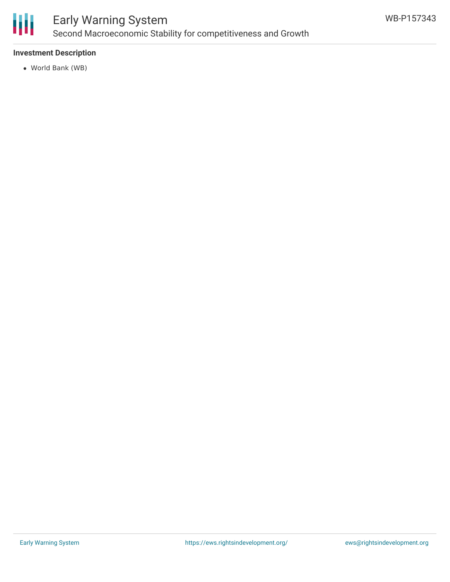

## Early Warning System Second Macroeconomic Stability for competitiveness and Growth

### **Investment Description**

World Bank (WB)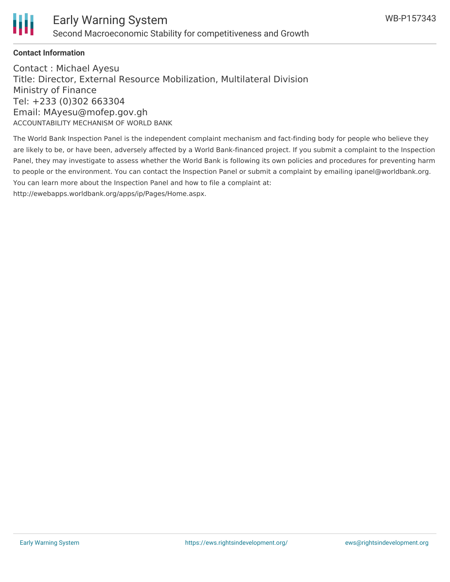

#### **Contact Information**

Contact : Michael Ayesu Title: Director, External Resource Mobilization, Multilateral Division Ministry of Finance Tel: +233 (0)302 663304 Email: MAyesu@mofep.gov.gh ACCOUNTABILITY MECHANISM OF WORLD BANK

The World Bank Inspection Panel is the independent complaint mechanism and fact-finding body for people who believe they are likely to be, or have been, adversely affected by a World Bank-financed project. If you submit a complaint to the Inspection Panel, they may investigate to assess whether the World Bank is following its own policies and procedures for preventing harm to people or the environment. You can contact the Inspection Panel or submit a complaint by emailing ipanel@worldbank.org. You can learn more about the Inspection Panel and how to file a complaint at: http://ewebapps.worldbank.org/apps/ip/Pages/Home.aspx.